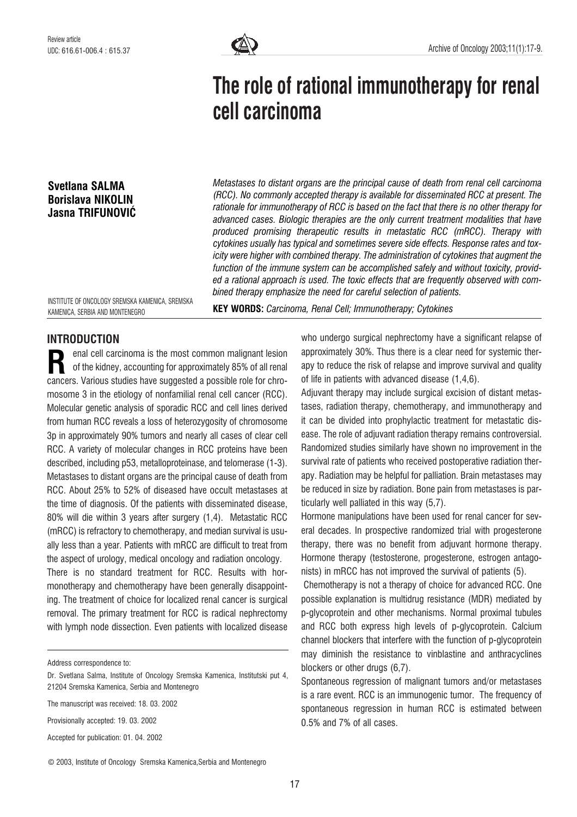

# The role of rational immunotherapy for renal cell carcinoma

Svetlana SALMA Borislava NIKOLIN Jasna TRIFUNOVIÆ

Metastases to distant organs are the principal cause of death from renal cell carcinoma (RCC). No commonly accepted therapy is available for disseminated RCC at present. The rationale for immunotherapy of RCC is based on the fact that there is no other therapy for advanced cases. Biologic therapies are the only current treatment modalities that have produced promising therapeutic results in metastatic RCC (mRCC). Therapy with cytokines usually has typical and sometimes severe side effects. Response rates and toxicity were higher with combined therapy. The administration of cytokines that augment the function of the immune system can be accomplished safely and without toxicity, provided a rational approach is used. The toxic effects that are frequently observed with combined therapy emphasize the need for careful selection of patients.

INSTITUTE OF ONCOLOGY SREMSKA KAMENICA, SREMSKA KAMENICA, SERBIA AND MONTENEGRO

KEY WORDS: Carcinoma, Renal Cell; Immunotherapy; Cytokines

# INTRODUCTION

enal cell carcinoma is the most common malignant lesion of the kidney, accounting for approximately 85% of all renal enal cell carcinoma is the most common malignant lesion<br>of the kidney, accounting for approximately 85% of all renal<br>cancers. Various studies have suggested a possible role for chromosome 3 in the etiology of nonfamilial renal cell cancer (RCC). Molecular genetic analysis of sporadic RCC and cell lines derived from human RCC reveals a loss of heterozygosity of chromosome 3p in approximately 90% tumors and nearly all cases of clear cell RCC. A variety of molecular changes in RCC proteins have been described, including p53, metalloproteinase, and telomerase (1-3). Metastases to distant organs are the principal cause of death from RCC. About 25% to 52% of diseased have occult metastases at the time of diagnosis. Of the patients with disseminated disease, 80% will die within 3 years after surgery (1,4). Metastatic RCC (mRCC) is refractory to chemotherapy, and median survival is usually less than a year. Patients with mRCC are difficult to treat from the aspect of urology, medical oncology and radiation oncology. There is no standard treatment for RCC. Results with hormonotherapy and chemotherapy have been generally disappointing. The treatment of choice for localized renal cancer is surgical removal. The primary treatment for RCC is radical nephrectomy

Address correspondence to:

with lymph node dissection. Even patients with localized disease

The manuscript was received: 18. 03. 2002

Provisionally accepted: 19. 03. 2002

Accepted for publication: 01. 04. 2002

© 2003, Institute of Oncology Sremska Kamenica,Serbia and Montenegro

who undergo surgical nephrectomy have a significant relapse of approximately 30%. Thus there is a clear need for systemic therapy to reduce the risk of relapse and improve survival and quality of life in patients with advanced disease (1,4,6).

Adjuvant therapy may include surgical excision of distant metastases, radiation therapy, chemotherapy, and immunotherapy and it can be divided into prophylactic treatment for metastatic disease. The role of adjuvant radiation therapy remains controversial. Randomized studies similarly have shown no improvement in the survival rate of patients who received postoperative radiation therapy. Radiation may be helpful for palliation. Brain metastases may be reduced in size by radiation. Bone pain from metastases is particularly well palliated in this way (5,7).

Hormone manipulations have been used for renal cancer for several decades. In prospective randomized trial with progesterone therapy, there was no benefit from adjuvant hormone therapy. Hormone therapy (testosterone, progesterone, estrogen antagonists) in mRCC has not improved the survival of patients (5).

Chemotherapy is not a therapy of choice for advanced RCC. One possible explanation is multidrug resistance (MDR) mediated by p-glycoprotein and other mechanisms. Normal proximal tubules and RCC both express high levels of p-glycoprotein. Calcium channel blockers that interfere with the function of p-glycoprotein may diminish the resistance to vinblastine and anthracyclines blockers or other drugs (6,7).

Spontaneous regression of malignant tumors and/or metastases is a rare event. RCC is an immunogenic tumor. The frequency of spontaneous regression in human RCC is estimated between 0.5% and 7% of all cases.

Dr. Svetlana Salma, Institute of Oncology Sremska Kamenica, Institutski put 4, 21204 Sremska Kamenica, Serbia and Montenegro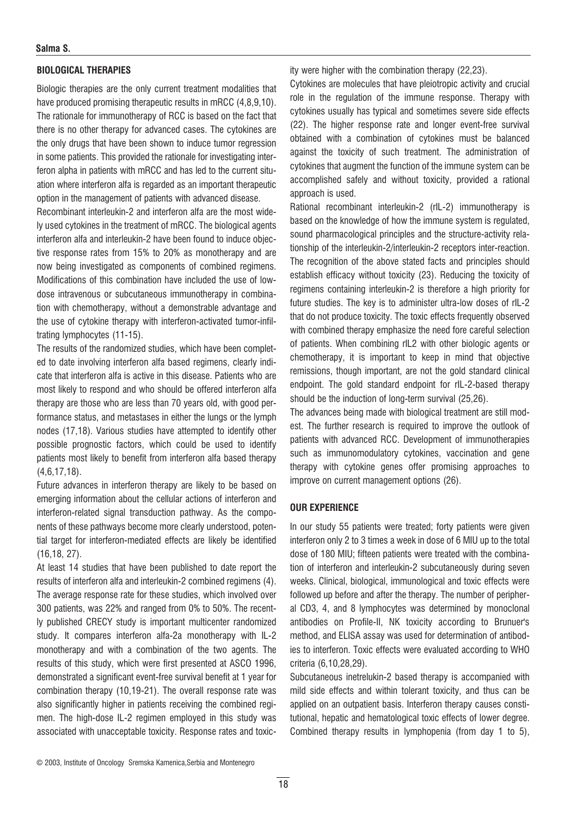## Salma S.

# BIOLOGICAL THERAPIES

Biologic therapies are the only current treatment modalities that have produced promising therapeutic results in mRCC (4,8,9,10). The rationale for immunotherapy of RCC is based on the fact that there is no other therapy for advanced cases. The cytokines are the only drugs that have been shown to induce tumor regression in some patients. This provided the rationale for investigating interferon alpha in patients with mRCC and has led to the current situation where interferon alfa is regarded as an important therapeutic option in the management of patients with advanced disease.

Recombinant interleukin-2 and interferon alfa are the most widely used cytokines in the treatment of mRCC. The biological agents interferon alfa and interleukin-2 have been found to induce objective response rates from 15% to 20% as monotherapy and are now being investigated as components of combined regimens. Modifications of this combination have included the use of lowdose intravenous or subcutaneous immunotherapy in combination with chemotherapy, without a demonstrable advantage and the use of cytokine therapy with interferon-activated tumor-infiltrating lymphocytes (11-15).

The results of the randomized studies, which have been completed to date involving interferon alfa based regimens, clearly indicate that interferon alfa is active in this disease. Patients who are most likely to respond and who should be offered interferon alfa therapy are those who are less than 70 years old, with good performance status, and metastases in either the lungs or the lymph nodes (17,18). Various studies have attempted to identify other possible prognostic factors, which could be used to identify patients most likely to benefit from interferon alfa based therapy (4,6,17,18).

Future advances in interferon therapy are likely to be based on emerging information about the cellular actions of interferon and interferon-related signal transduction pathway. As the components of these pathways become more clearly understood, potential target for interferon-mediated effects are likely be identified (16,18, 27).

At least 14 studies that have been published to date report the results of interferon alfa and interleukin-2 combined regimens (4). The average response rate for these studies, which involved over 300 patients, was 22% and ranged from 0% to 50%. The recently published CRECY study is important multicenter randomized study. It compares interferon alfa-2a monotherapy with IL-2 monotherapy and with a combination of the two agents. The results of this study, which were first presented at ASCO 1996, demonstrated a significant event-free survival benefit at 1 year for combination therapy (10,19-21). The overall response rate was also significantly higher in patients receiving the combined regimen. The high-dose IL-2 regimen employed in this study was associated with unacceptable toxicity. Response rates and toxicity were higher with the combination therapy (22,23).

Cytokines are molecules that have pleiotropic activity and crucial role in the regulation of the immune response. Therapy with cytokines usually has typical and sometimes severe side effects (22). The higher response rate and longer event-free survival obtained with a combination of cytokines must be balanced against the toxicity of such treatment. The administration of cytokines that augment the function of the immune system can be accomplished safely and without toxicity, provided a rational approach is used.

Rational recombinant interleukin-2 (rIL-2) immunotherapy is based on the knowledge of how the immune system is regulated, sound pharmacological principles and the structure-activity relationship of the interleukin-2/interleukin-2 receptors inter-reaction. The recognition of the above stated facts and principles should establish efficacy without toxicity (23). Reducing the toxicity of regimens containing interleukin-2 is therefore a high priority for future studies. The key is to administer ultra-low doses of rIL-2 that do not produce toxicity. The toxic effects frequently observed with combined therapy emphasize the need fore careful selection of patients. When combining rIL2 with other biologic agents or chemotherapy, it is important to keep in mind that objective remissions, though important, are not the gold standard clinical endpoint. The gold standard endpoint for rIL-2-based therapy should be the induction of long-term survival (25,26).

The advances being made with biological treatment are still modest. The further research is required to improve the outlook of patients with advanced RCC. Development of immunotherapies such as immunomodulatory cytokines, vaccination and gene therapy with cytokine genes offer promising approaches to improve on current management options (26).

# OUR EXPERIENCE

In our study 55 patients were treated; forty patients were given interferon only 2 to 3 times a week in dose of 6 MIU up to the total dose of 180 MIU; fifteen patients were treated with the combination of interferon and interleukin-2 subcutaneously during seven weeks. Clinical, biological, immunological and toxic effects were followed up before and after the therapy. The number of peripheral CD3, 4, and 8 lymphocytes was determined by monoclonal antibodies on Profile-II, NK toxicity according to Brunuer's method, and ELISA assay was used for determination of antibodies to interferon. Toxic effects were evaluated according to WHO criteria (6,10,28,29).

Subcutaneous inetrelukin-2 based therapy is accompanied with mild side effects and within tolerant toxicity, and thus can be applied on an outpatient basis. Interferon therapy causes constitutional, hepatic and hematological toxic effects of lower degree. Combined therapy results in lymphopenia (from day 1 to 5),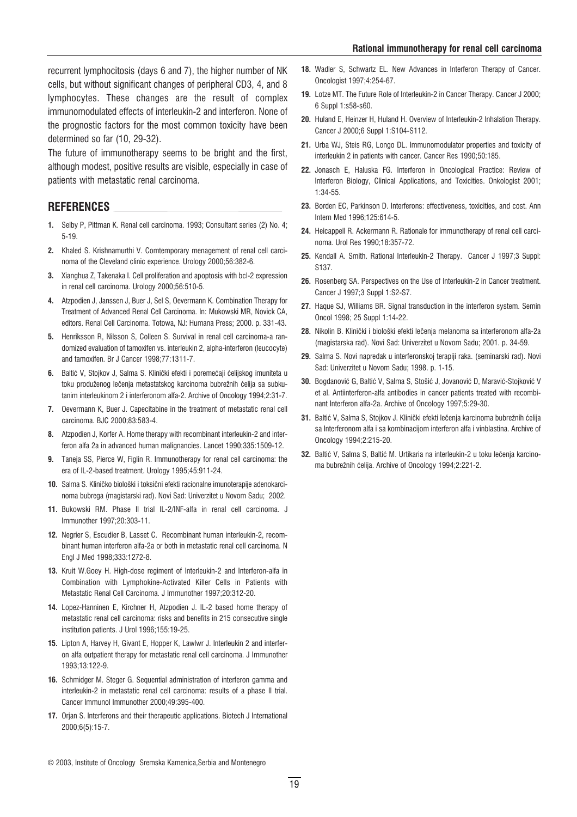recurrent lymphocitosis (days 6 and 7), the higher number of NK cells, but without significant changes of peripheral CD3, 4, and 8 lymphocytes. These changes are the result of complex immunomodulated effects of interleukin-2 and interferon. None of the prognostic factors for the most common toxicity have been determined so far (10, 29-32).

The future of immunotherapy seems to be bright and the first, although modest, positive results are visible, especially in case of patients with metastatic renal carcinoma.

# REFERENCES

- 1. Selby P, Pittman K. Renal cell carcinoma. 1993; Consultant series (2) No. 4; 5-19.
- 2. Khaled S. Krishnamurthi V. Comtemporary menagement of renal cell carcinoma of the Cleveland clinic experience. Urology 2000;56:382-6.
- 3. Xianghua Z, Takenaka I. Cell proliferation and apoptosis with bcl-2 expression in renal cell carcinoma. Urology 2000;56:510-5.
- 4. Atzpodien J, Janssen J, Buer J, Sel S, Oevermann K. Combination Therapy for Treatment of Advanced Renal Cell Carcinoma. In: Mukowski MR, Novick CA, editors. Renal Cell Carcinoma. Totowa, NJ: Humana Press; 2000. p. 331-43.
- 5. Henriksson R, Nilsson S, Colleen S. Survival in renal cell carcinoma-a randomized evaluation of tamoxifen vs. interleukin 2, alpha-interferon (leucocyte) and tamoxifen. Br J Cancer 1998;77:1311-7.
- 6. Baltić V, Stojkov J, Salma S. Klinički efekti i poremećaji ćelijskog imuniteta u toku produženog lečenja metastatskog karcinoma bubrežnih ćelija sa subkutanim interleukinom 2 i interferonom alfa-2. Archive of Oncology 1994;2:31-7.
- 7. Oevermann K, Buer J. Capecitabine in the treatment of metastatic renal cell carcinoma. BJC 2000;83:583-4.
- 8. Atzpodien J, Korfer A. Home therapy with recombinant interleukin-2 and interferon alfa 2a in advanced human malignancies. Lancet 1990;335:1509-12.
- 9. Taneja SS, Pierce W, Figlin R. Immunotherapy for renal cell carcinoma: the era of IL-2-based treatment. Urology 1995;45:911-24.
- 10. Salma S. Kliničko biološki i toksični efekti racionalne imunoterapije adenokarcinoma bubrega (magistarski rad). Novi Sad: Univerzitet u Novom Sadu; 2002.
- 11. Bukowski RM. Phase II trial IL-2/INF-alfa in renal cell carcinoma. J Immunother 1997;20:303-11.
- 12. Negrier S, Escudier B, Lasset C. Recombinant human interleukin-2, recombinant human interferon alfa-2a or both in metastatic renal cell carcinoma. N Engl J Med 1998;333:1272-8.
- 13. Kruit W.Goey H. High-dose regiment of Interleukin-2 and Interferon-alfa in Combination with Lymphokine-Activated Killer Cells in Patients with Metastatic Renal Cell Carcinoma. J Immunother 1997;20:312-20.
- 14. Lopez-Hanninen E, Kirchner H, Atzpodien J. IL-2 based home therapy of metastatic renal cell carcinoma: risks and benefits in 215 consecutive single institution patients. J Urol 1996;155:19-25.
- 15. Lipton A, Harvey H, Givant E, Hopper K, Lawlwr J. Interleukin 2 and interferon alfa outpatient therapy for metastatic renal cell carcinoma. J Immunother 1993;13:122-9.
- 16. Schmidger M. Steger G. Sequential administration of interferon gamma and interleukin-2 in metastatic renal cell carcinoma: results of a phase II trial. Cancer Immunol Immunother 2000;49:395-400.
- 17. Orjan S. Interferons and their therapeutic applications. Biotech J International 2000;6(5):15-7.
- 18. Wadler S, Schwartz EL. New Advances in Interferon Therapy of Cancer. Oncologist 1997;4:254-67.
- 19. Lotze MT. The Future Role of Interleukin-2 in Cancer Therapy. Cancer J 2000; 6 Suppl 1:s58-s60.
- 20. Huland E, Heinzer H, Huland H. Overview of Interleukin-2 Inhalation Therapy. Cancer J 2000;6 Suppl 1:S104-S112.
- 21. Urba WJ, Steis RG, Longo DL. Immunomodulator properties and toxicity of interleukin 2 in patients with cancer. Cancer Res 1990;50:185.
- 22. Jonasch E. Haluska FG. Interferon in Oncological Practice: Review of Interferon Biology, Clinical Applications, and Toxicities. Onkologist 2001; 1:34-55.
- 23. Borden EC, Parkinson D. Interferons: effectiveness, toxicities, and cost. Ann Intern Med 1996;125:614-5.
- 24. Heicappell R. Ackermann R. Rationale for immunotherapy of renal cell carcinoma. Urol Res 1990;18:357-72.
- 25. Kendall A. Smith. Rational Interleukin-2 Therapy. Cancer J 1997;3 Suppl: S137.
- 26. Rosenberg SA. Perspectives on the Use of Interleukin-2 in Cancer treatment. Cancer J 1997;3 Suppl 1:S2-S7.
- 27. Haque SJ, Williams BR. Signal transduction in the interferon system. Semin Oncol 1998; 25 Suppl 1:14-22.
- 28. Nikolin B. Klinički i biološki efekti lečenja melanoma sa interferonom alfa-2a (magistarska rad). Novi Sad: Univerzitet u Novom Sadu; 2001. p. 34-59.
- 29. Salma S. Novi napredak u interferonskoj terapiji raka. (seminarski rad). Novi Sad: Univerzitet u Novom Sadu; 1998. p. 1-15.
- 30. Bogdanović G, Baltić V, Salma S, Stošić J, Jovanović D, Maravić-Stojković V et al. Antiinterferon-alfa antibodies in cancer patients treated with recombinant Interferon alfa-2a. Archive of Oncology 1997;5:29-30.
- 31. Baltić V, Salma S, Stojkov J. Klinički efekti lečenja karcinoma bubrežnih ćelija sa Interferonom alfa i sa kombinacijom interferon alfa i vinblastina. Archive of Oncology 1994;2:215-20.
- 32. Baltić V, Salma S, Baltić M. Urtikaria na interleukin-2 u toku lečenja karcinoma bubrežnih ćelija. Archive of Oncology 1994;2:221-2.

<sup>©</sup> 2003, Institute of Oncology Sremska Kamenica,Serbia and Montenegro